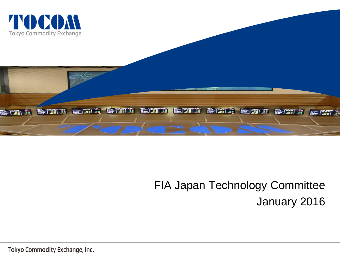



# FIA Japan Technology Committee January 2016

Tokyo Commodity Exchange, Inc.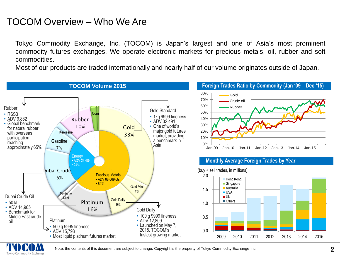### TOCOM Overview – Who We Are

Tokyo Commodity Exchange, Inc. (TOCOM) is Japan's largest and one of Asia's most prominent commodity futures exchanges. We operate electronic markets for precious metals, oil, rubber and soft commodities.

Most of our products are traded internationally and nearly half of our volume originates outside of Japan.



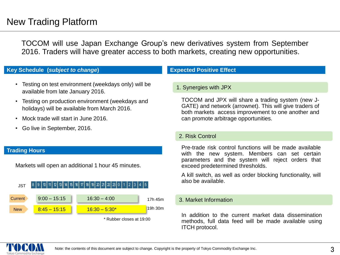## New Trading Platform

TOCOM will use Japan Exchange Group's new derivatives system from September 2016. Traders will have greater access to both markets, creating new opportunities.

### **Key Schedule (***subject to change***)**

- Testing on test environment (weekdays only) will be available from late January 2016.
- Testing on production environment (weekdays and holidays) will be available from March 2016.
- Mock trade will start in June 2016
- Go live in September, 2016.

#### **Trading Hours**

Markets will open an additional 1 hour 45 minutes.



\* Rubber closes at 19:00

### **Expected Positive Effect**

#### 1. Synergies with JPX

TOCOM and JPX will share a trading system (new J-GATE) and network (arrownet). This will give traders of both markets access improvement to one another and can promote arbitrage opportunities.

#### 2. Risk Control

Pre-trade risk control functions will be made available with the new system. Members can set certain parameters and the system will reject orders that exceed predetermined thresholds.

A kill switch, as well as order blocking functionality, will also be available.

### 3. Market Information

In addition to the current market data dissemination methods, full data feed will be made available using ITCH protocol.

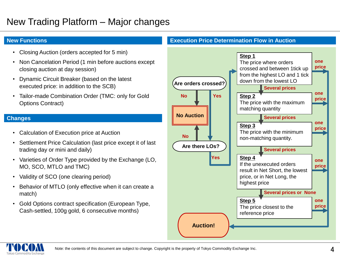## New Trading Platform – Major changes

- Closing Auction (orders accepted for 5 min)
- Non Cancelation Period (1 min before auctions except closing auction at day session)
- Dynamic Circuit Breaker (based on the latest executed price: in addition to the SCB)
- Tailor-made Combination Order (TMC: only for Gold Options Contract)

- Calculation of Execution price at Auction
- Settlement Price Calculation (last price except it of last trading day or mini and daily)
- Varieties of Order Type provided by the Exchange (LO, MO, SCO, MTLO and TMC)
- Validity of SCO (one clearing period)
- Behavior of MTLO (only effective when it can create a match)
- Gold Options contract specification (European Type, Cash-settled, 100g gold, 6 consecutive months)